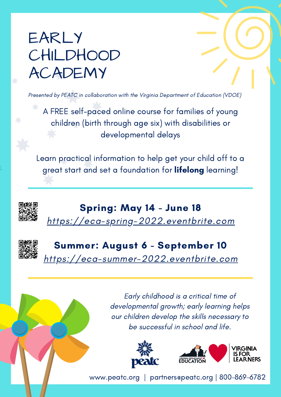## EARLY **CHILDHOOD** ACADEMY

Presented by PEATC in collaboration with the Virginia Department of Education (VDOE)

A FREE self-paced online course for families of young children (birth through age six) with disabilities or developmental delays

Learn practical information to help get your child off to a great start and set a foundation for **lifelong** learning!





## Summer: August 6 - September 10

[https://eca-summer-2022.eventbrite.com](https://eca-summer-2022.eventbrite.com/)

Early childhood is a critical time of developmental growth; early learning helps our children develop the skills necessary to be successful in school and life.